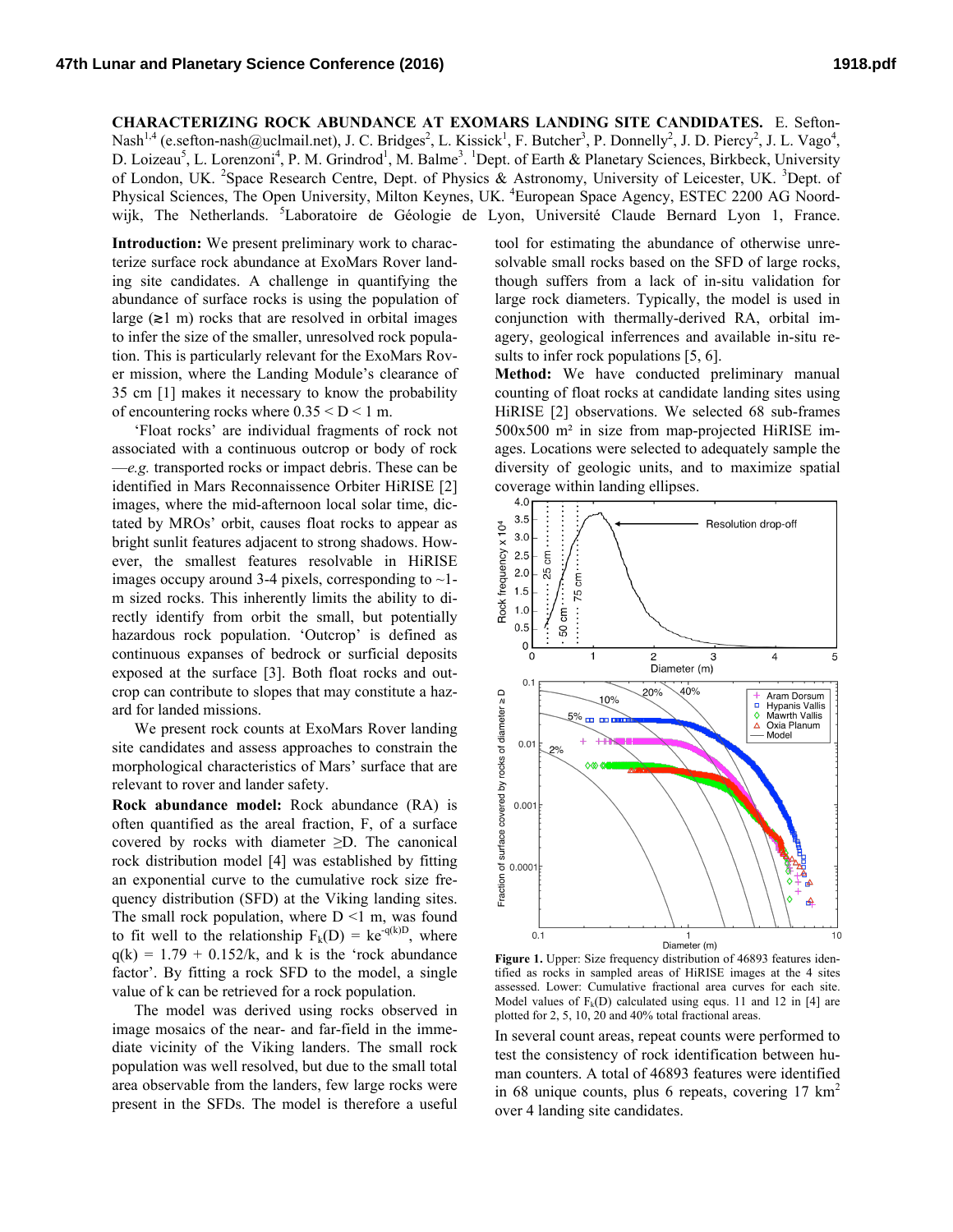**CHARACTERIZING ROCK ABUNDANCE AT EXOMARS LANDING SITE CANDIDATES.** E. Sefton-Nash<sup>1,4</sup> (e.sefton-nash@uclmail.net), J. C. Bridges<sup>2</sup>, L. Kissick<sup>1</sup>, F. Butcher<sup>3</sup>, P. Donnelly<sup>2</sup>, J. D. Piercy<sup>2</sup>, J. L. Vago<sup>4</sup>, D. Loizeau<sup>5</sup>, L. Lorenzoni<sup>4</sup>, P. M. Grindrod<sup>1</sup>, M. Balme<sup>3</sup>. <sup>1</sup>Dept. of Earth & Planetary Sciences, Birkbeck, University of London, UK. <sup>2</sup>Space Research Centre, Dept. of Physics & Astronomy, University of Leicester, UK. <sup>3</sup>Dept. of Physical Sciences, The Open University, Milton Keynes, UK. <sup>4</sup>European Space Agency, ESTEC 2200 AG Noordwijk, The Netherlands. <sup>5</sup>Laboratoire de Géologie de Lyon, Université Claude Bernard Lyon 1, France.

**Introduction:** We present preliminary work to characterize surface rock abundance at ExoMars Rover landing site candidates. A challenge in quantifying the abundance of surface rocks is using the population of large  $(\geq 1 \text{ m})$  rocks that are resolved in orbital images to infer the size of the smaller, unresolved rock population. This is particularly relevant for the ExoMars Rover mission, where the Landing Module's clearance of 35 cm [1] makes it necessary to know the probability of encountering rocks where  $0.35 \leq D \leq 1$  m.

'Float rocks' are individual fragments of rock not associated with a continuous outcrop or body of rock —*e.g.* transported rocks or impact debris. These can be identified in Mars Reconnaissence Orbiter HiRISE [2] images, where the mid-afternoon local solar time, dictated by MROs' orbit, causes float rocks to appear as bright sunlit features adjacent to strong shadows. However, the smallest features resolvable in HiRISE images occupy around 3-4 pixels, corresponding to  $\sim$ 1m sized rocks. This inherently limits the ability to directly identify from orbit the small, but potentially hazardous rock population. 'Outcrop' is defined as continuous expanses of bedrock or surficial deposits exposed at the surface [3]. Both float rocks and outcrop can contribute to slopes that may constitute a hazard for landed missions.

We present rock counts at ExoMars Rover landing site candidates and assess approaches to constrain the morphological characteristics of Mars' surface that are relevant to rover and lander safety.

**Rock abundance model:** Rock abundance (RA) is often quantified as the areal fraction, F, of a surface covered by rocks with diameter ≥D. The canonical rock distribution model [4] was established by fitting an exponential curve to the cumulative rock size frequency distribution (SFD) at the Viking landing sites. The small rock population, where  $D \le 1$  m, was found to fit well to the relationship  $F_k(D) = ke^{-q(k)D}$ , where  $q(k) = 1.79 + 0.152/k$ , and k is the 'rock abundance factor'. By fitting a rock SFD to the model, a single value of k can be retrieved for a rock population.

The model was derived using rocks observed in image mosaics of the near- and far-field in the immediate vicinity of the Viking landers. The small rock population was well resolved, but due to the small total area observable from the landers, few large rocks were present in the SFDs. The model is therefore a useful

tool for estimating the abundance of otherwise unresolvable small rocks based on the SFD of large rocks, though suffers from a lack of in-situ validation for large rock diameters. Typically, the model is used in conjunction with thermally-derived RA, orbital imagery, geological inferrences and available in-situ results to infer rock populations [5, 6].

**Method:** We have conducted preliminary manual counting of float rocks at candidate landing sites using HiRISE [2] observations. We selected 68 sub-frames 500x500 m² in size from map-projected HiRISE images. Locations were selected to adequately sample the diversity of geologic units, and to maximize spatial coverage within landing ellipses.



**Figure 1.** Upper: Size frequency distribution of 46893 features identified as rocks in sampled areas of HiRISE images at the 4 sites assessed. Lower: Cumulative fractional area curves for each site. Model values of  $F_k(D)$  calculated using equs. 11 and 12 in [4] are plotted for 2, 5, 10, 20 and 40% total fractional areas.

In several count areas, repeat counts were performed to test the consistency of rock identification between human counters. A total of 46893 features were identified in 68 unique counts, plus 6 repeats, covering  $17 \text{ km}^2$ over 4 landing site candidates.